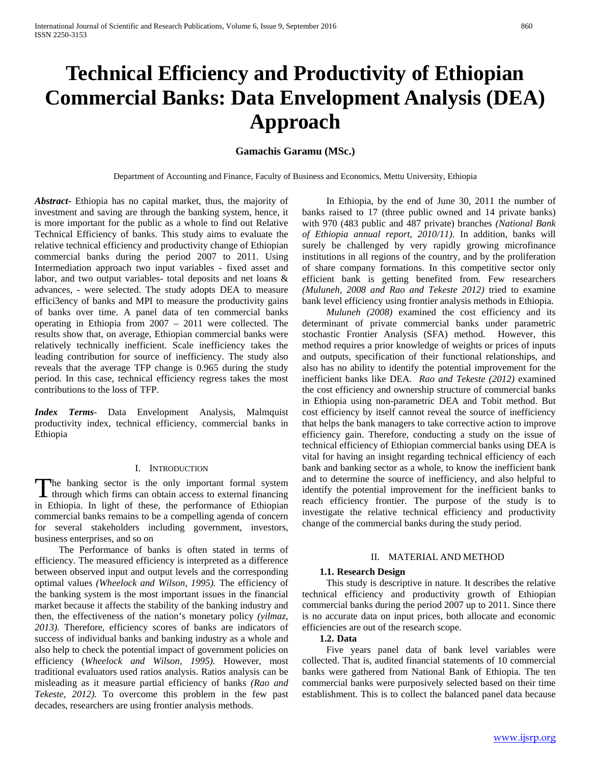# **Technical Efficiency and Productivity of Ethiopian Commercial Banks: Data Envelopment Analysis (DEA) Approach**

# **Gamachis Garamu (MSc.)**

Department of Accounting and Finance, Faculty of Business and Economics, Mettu University, Ethiopia

*Abstract***-** Ethiopia has no capital market, thus, the majority of investment and saving are through the banking system, hence, it is more important for the public as a whole to find out Relative Technical Efficiency of banks. This study aims to evaluate the relative technical efficiency and productivity change of Ethiopian commercial banks during the period 2007 to 2011. Using Intermediation approach two input variables - fixed asset and labor, and two output variables- total deposits and net loans & advances, - were selected. The study adopts DEA to measure effici3ency of banks and MPI to measure the productivity gains of banks over time. A panel data of ten commercial banks operating in Ethiopia from 2007 – 2011 were collected. The results show that, on average, Ethiopian commercial banks were relatively technically inefficient. Scale inefficiency takes the leading contribution for source of inefficiency. The study also reveals that the average TFP change is 0.965 during the study period. In this case, technical efficiency regress takes the most contributions to the loss of TFP.

*Index Terms*- Data Envelopment Analysis, Malmquist productivity index, technical efficiency, commercial banks in Ethiopia

#### I. INTRODUCTION

The banking sector is the only important formal system The banking sector is the only important formal system<br>through which firms can obtain access to external financing<br> $\Gamma$ in Ethiopia. In light of these, the performance of Ethiopian commercial banks remains to be a compelling agenda of concern for several stakeholders including government, investors, business enterprises, and so on

 The Performance of banks is often stated in terms of efficiency. The measured efficiency is interpreted as a difference between observed input and output levels and the corresponding optimal values *(Wheelock and Wilson, 1995).* The efficiency of the banking system is the most important issues in the financial market because it affects the stability of the banking industry and then, the effectiveness of the nation's monetary policy *(yilmaz, 2013).* Therefore, efficiency scores of banks are indicators of success of individual banks and banking industry as a whole and also help to check the potential impact of government policies on efficiency (*Wheelock and Wilson, 1995).* However, most traditional evaluators used ratios analysis. Ratios analysis can be misleading as it measure partial efficiency of banks *(Rao and Tekeste, 2012).* To overcome this problem in the few past decades, researchers are using frontier analysis methods.

 In Ethiopia, by the end of June 30, 2011 the number of banks raised to 17 (three public owned and 14 private banks) with 970 (483 public and 487 private) branches *(National Bank of Ethiopia annual report, 2010/11)*. In addition, banks will surely be challenged by very rapidly growing microfinance institutions in all regions of the country, and by the proliferation of share company formations. In this competitive sector only efficient bank is getting benefited from. Few researchers *(Muluneh, 2008 and Rao and Tekeste 2012)* tried to examine bank level efficiency using frontier analysis methods in Ethiopia.

 *Muluneh (2008)* examined the cost efficiency and its determinant of private commercial banks under parametric stochastic Frontier Analysis (SFA) method. However, this method requires a prior knowledge of weights or prices of inputs and outputs, specification of their functional relationships, and also has no ability to identify the potential improvement for the inefficient banks like DEA. *Rao and Tekeste (2012)* examined the cost efficiency and ownership structure of commercial banks in Ethiopia using non-parametric DEA and Tobit method. But cost efficiency by itself cannot reveal the source of inefficiency that helps the bank managers to take corrective action to improve efficiency gain. Therefore, conducting a study on the issue of technical efficiency of Ethiopian commercial banks using DEA is vital for having an insight regarding technical efficiency of each bank and banking sector as a whole, to know the inefficient bank and to determine the source of inefficiency, and also helpful to identify the potential improvement for the inefficient banks to reach efficiency frontier. The purpose of the study is to investigate the relative technical efficiency and productivity change of the commercial banks during the study period.

#### II. MATERIAL AND METHOD

#### **1.1. Research Design**

 This study is descriptive in nature. It describes the relative technical efficiency and productivity growth of Ethiopian commercial banks during the period 2007 up to 2011. Since there is no accurate data on input prices, both allocate and economic efficiencies are out of the research scope.

## **1.2. Data**

 Five years panel data of bank level variables were collected. That is, audited financial statements of 10 commercial banks were gathered from National Bank of Ethiopia. The ten commercial banks were purposively selected based on their time establishment. This is to collect the balanced panel data because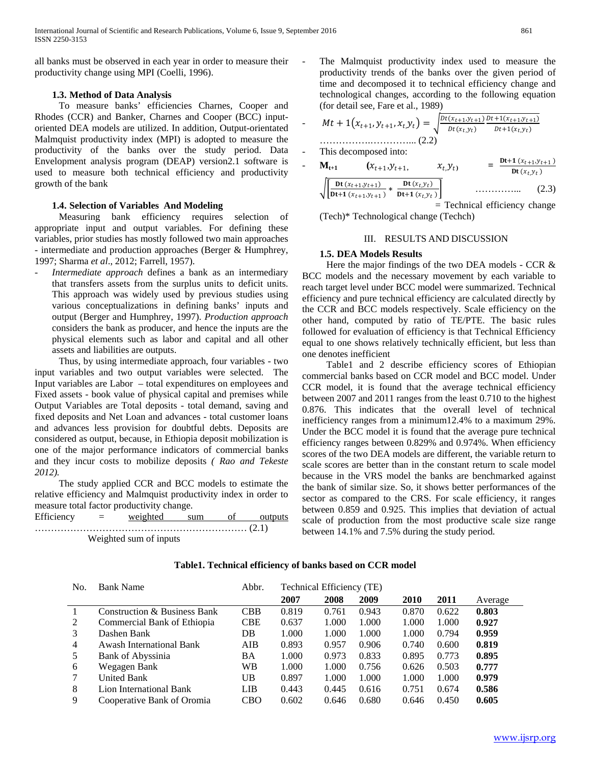all banks must be observed in each year in order to measure their productivity change using MPI (Coelli, 1996).

# **1.3. Method of Data Analysis**

 To measure banks' efficiencies Charnes, Cooper and Rhodes (CCR) and Banker, Charnes and Cooper (BCC) inputoriented DEA models are utilized. In addition, Output-orientated Malmquist productivity index (MPI) is adopted to measure the productivity of the banks over the study period. Data Envelopment analysis program (DEAP) version2.1 software is used to measure both technical efficiency and productivity growth of the bank

## **1.4. Selection of Variables And Modeling**

 Measuring bank efficiency requires selection of appropriate input and output variables. For defining these variables, prior studies has mostly followed two main approaches - intermediate and production approaches (Berger & Humphrey, 1997; Sharma *et al*., 2012; Farrell, 1957).

*Intermediate approach* defines a bank as an intermediary that transfers assets from the surplus units to deficit units. This approach was widely used by previous studies using various conceptualizations in defining banks' inputs and output (Berger and Humphrey, 1997). *Production approach* considers the bank as producer, and hence the inputs are the physical elements such as labor and capital and all other assets and liabilities are outputs.

 Thus, by using intermediate approach, four variables - two input variables and two output variables were selected. The Input variables are Labor – total expenditures on employees and Fixed assets - book value of physical capital and premises while Output Variables are Total deposits - total demand, saving and fixed deposits and Net Loan and advances - total customer loans and advances less provision for doubtful debts. Deposits are considered as output, because, in Ethiopia deposit mobilization is one of the major performance indicators of commercial banks and they incur costs to mobilize deposits *( Rao and Tekeste 2012).* 

 The study applied CCR and BCC models to estimate the relative efficiency and Malmquist productivity index in order to measure total factor productivity change.

| Efficiency | $=$ | weighted               | sum | outputs |
|------------|-----|------------------------|-----|---------|
|            |     |                        |     |         |
|            |     | Weighted sum of inputs |     |         |

The Malmquist productivity index used to measure the productivity trends of the banks over the given period of time and decomposed it to technical efficiency change and technological changes, according to the following equation (for detail see, Fare et al., 1989)

$$
Mt + 1(x_{t+1}, y_{t+1}, x_{t}, y_{t}) = \sqrt{\frac{Dt(x_{t+1}, y_{t+1})}{Dt(x_{t}, y_{t})} \frac{Dt + 1(x_{t+1}, y_{t+1})}{Dt + 1(x_{t}, y_{t})}}
$$

This decomposed into:

- 
$$
\mathbf{M}_{t+1}
$$
  $(x_{t+1}, y_{t+1}, x_{t}, y_{t})$  =  $\frac{\mathbf{D}t + \mathbf{1}(x_{t+1}, y_{t+1})}{\mathbf{D}t(x_{t}, y_{t})}$   
\n $\sqrt{\left[\frac{\mathbf{D}t(x_{t+1}, y_{t+1})}{\mathbf{D}t + \mathbf{1}(x_{t+1}, y_{t+1})} + \frac{\mathbf{D}t(x_{t}, y_{t})}{\mathbf{D}t + \mathbf{1}(x_{t}, y_{t})}\right]}$  (2.3)

 = Technical efficiency change (Tech)\* Technological change (Techch)

## III. RESULTS AND DISCUSSION

## **1.5. DEA Models Results**

 Here the major findings of the two DEA models - CCR & BCC models and the necessary movement by each variable to reach target level under BCC model were summarized. Technical efficiency and pure technical efficiency are calculated directly by the CCR and BCC models respectively. Scale efficiency on the other hand, computed by ratio of TE/PTE. The basic rules followed for evaluation of efficiency is that Technical Efficiency equal to one shows relatively technically efficient, but less than one denotes inefficient

 Table1 and 2 describe efficiency scores of Ethiopian commercial banks based on CCR model and BCC model. Under CCR model, it is found that the average technical efficiency between 2007 and 2011 ranges from the least 0.710 to the highest 0.876. This indicates that the overall level of technical inefficiency ranges from a minimum12.4% to a maximum 29%. Under the BCC model it is found that the average pure technical efficiency ranges between 0.829% and 0.974%. When efficiency scores of the two DEA models are different, the variable return to scale scores are better than in the constant return to scale model because in the VRS model the banks are benchmarked against the bank of similar size. So, it shows better performances of the sector as compared to the CRS. For scale efficiency, it ranges between 0.859 and 0.925. This implies that deviation of actual scale of production from the most productive scale size range between 14.1% and 7.5% during the study period.

| No.            | <b>Bank Name</b>             | Abbr.      | Technical Efficiency (TE) |       |       |             |       |         |
|----------------|------------------------------|------------|---------------------------|-------|-------|-------------|-------|---------|
|                |                              |            | 2007                      | 2008  | 2009  | <b>2010</b> | 2011  | Average |
|                | Construction & Business Bank | <b>CBB</b> | 0.819                     | 0.761 | 0.943 | 0.870       | 0.622 | 0.803   |
| 2              | Commercial Bank of Ethiopia  | <b>CBE</b> | 0.637                     | 1.000 | 1.000 | 1.000       | 1.000 | 0.927   |
| 3              | Dashen Bank                  | DB         | 1.000                     | 1.000 | 1.000 | 1.000       | 0.794 | 0.959   |
| $\overline{4}$ | Awash International Bank     | AIB        | 0.893                     | 0.957 | 0.906 | 0.740       | 0.600 | 0.819   |
| 5              | <b>Bank of Abyssinia</b>     | ΒA         | 1.000                     | 0.973 | 0.833 | 0.895       | 0.773 | 0.895   |
| 6              | Wegagen Bank                 | <b>WB</b>  | 1.000                     | 1.000 | 0.756 | 0.626       | 0.503 | 0.777   |
|                | <b>United Bank</b>           | UB         | 0.897                     | 1.000 | 1.000 | 1.000       | 1.000 | 0.979   |
| 8              | Lion International Bank      | LIB        | 0.443                     | 0.445 | 0.616 | 0.751       | 0.674 | 0.586   |
| 9              | Cooperative Bank of Oromia   | CBO        | 0.602                     | 0.646 | 0.680 | 0.646       | 0.450 | 0.605   |

## **Table1. Technical efficiency of banks based on CCR model**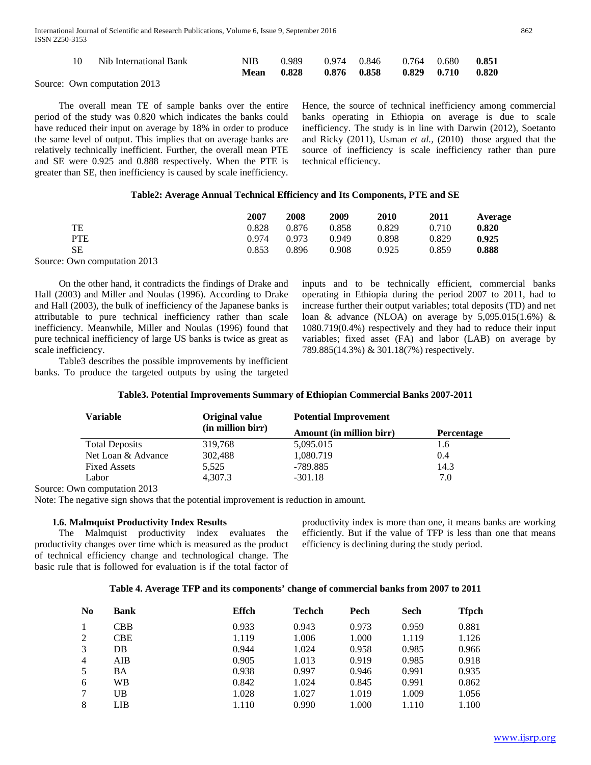| Nib International Bank | NIB - | 0.989 0.974 0.846 0.764 0.680 0.851<br>Mean 0.828 0.876 0.858 0.829 0.710 0.820 |  |  |
|------------------------|-------|---------------------------------------------------------------------------------|--|--|
|                        |       |                                                                                 |  |  |

Source: Own computation 2013

 The overall mean TE of sample banks over the entire period of the study was 0.820 which indicates the banks could have reduced their input on average by 18% in order to produce the same level of output. This implies that on average banks are relatively technically inefficient. Further, the overall mean PTE and SE were 0.925 and 0.888 respectively. When the PTE is greater than SE, then inefficiency is caused by scale inefficiency.

Hence, the source of technical inefficiency among commercial banks operating in Ethiopia on average is due to scale inefficiency. The study is in line with Darwin (2012), Soetanto and Ricky (2011), Usman *et al.,* (2010) those argued that the source of inefficiency is scale inefficiency rather than pure technical efficiency.

## **Table2: Average Annual Technical Efficiency and Its Components, PTE and SE**

|                              | 2007  | 2008  | 2009  | 2010  | 2011  | Average |
|------------------------------|-------|-------|-------|-------|-------|---------|
| TE                           | 0.828 | 0.876 | 0.858 | 0.829 | 0.710 | 0.820   |
| <b>PTE</b>                   | 0.974 | 0.973 | 0.949 | 0.898 | 0.829 | 0.925   |
| SЕ                           | 0.853 | 0.896 | 0.908 | 0.925 | 0.859 | 0.888   |
| Source: Own computation 2013 |       |       |       |       |       |         |

 On the other hand, it contradicts the findings of Drake and Hall (2003) and Miller and Noulas (1996). According to Drake and Hall (2003), the bulk of inefficiency of the Japanese banks is attributable to pure technical inefficiency rather than scale inefficiency. Meanwhile, Miller and Noulas (1996) found that pure technical inefficiency of large US banks is twice as great as scale inefficiency.

 Table3 describes the possible improvements by inefficient banks. To produce the targeted outputs by using the targeted inputs and to be technically efficient, commercial banks operating in Ethiopia during the period 2007 to 2011, had to increase further their output variables; total deposits (TD) and net loan & advance (NLOA) on average by  $5,095.015(1.6%)$  & 1080.719(0.4%) respectively and they had to reduce their input variables; fixed asset (FA) and labor (LAB) on average by 789.885(14.3%) & 301.18(7%) respectively.

| Variable                             | Original value    | <b>Potential Improvement</b> |                   |
|--------------------------------------|-------------------|------------------------------|-------------------|
|                                      | (in million birr) | Amount (in million birr)     | <b>Percentage</b> |
| <b>Total Deposits</b>                | 319,768           | 5,095.015                    | 1.6               |
| Net Loan & Advance                   | 302,488           | 1,080.719                    | 0.4               |
| <b>Fixed Assets</b>                  | 5,525             | -789.885                     | 14.3              |
| Labor                                | 4.307.3           | $-301.18$                    | 7.0               |
| $\Omega_{\rm BB}$ computation $2012$ |                   |                              |                   |

## **Table3. Potential Improvements Summary of Ethiopian Commercial Banks 2007-2011**

Source: Own computation 2013

Note: The negative sign shows that the potential improvement is reduction in amount.

## **1.6. Malmquist Productivity Index Results**

 The Malmquist productivity index evaluates the productivity changes over time which is measured as the product of technical efficiency change and technological change. The basic rule that is followed for evaluation is if the total factor of productivity index is more than one, it means banks are working efficiently. But if the value of TFP is less than one that means efficiency is declining during the study period.

## **Table 4. Average TFP and its components' change of commercial banks from 2007 to 2011**

| N <sub>0</sub> | <b>Bank</b> | Effch | <b>Techch</b> | Pech  | Sech  | <b>Tfpch</b> |
|----------------|-------------|-------|---------------|-------|-------|--------------|
|                | CBB         | 0.933 | 0.943         | 0.973 | 0.959 | 0.881        |
| 2              | <b>CBE</b>  | 1.119 | 1.006         | 1.000 | 1.119 | 1.126        |
| 3              | DB.         | 0.944 | 1.024         | 0.958 | 0.985 | 0.966        |
| $\overline{4}$ | AIB         | 0.905 | 1.013         | 0.919 | 0.985 | 0.918        |
| 5              | BA          | 0.938 | 0.997         | 0.946 | 0.991 | 0.935        |
| 6              | WB          | 0.842 | 1.024         | 0.845 | 0.991 | 0.862        |
| 7              | UB          | 1.028 | 1.027         | 1.019 | 1.009 | 1.056        |
| 8              | LIB         | 1.110 | 0.990         | 1.000 | 1.110 | 1.100        |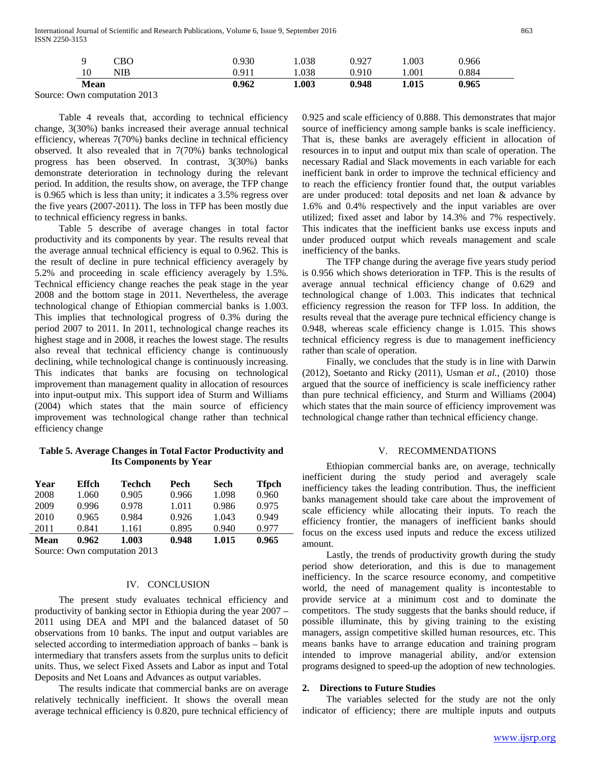International Journal of Scientific and Research Publications, Volume 6, Issue 9, September 2016 863 ISSN 2250-3153

|             | CBO | 0.930 | .038  | 0.927 | 0.003 | 0.966 |
|-------------|-----|-------|-------|-------|-------|-------|
| 10          | NIB | 0.911 | 1.038 | 0.910 | 1.001 | 0.884 |
| <b>Mean</b> |     | 0.962 | 1.003 | 0.948 | 1.015 | 0.965 |

Source: Own computation 2013

 Table 4 reveals that, according to technical efficiency change, 3(30%) banks increased their average annual technical efficiency, whereas 7(70%) banks decline in technical efficiency observed. It also revealed that in 7(70%) banks technological progress has been observed. In contrast, 3(30%) banks demonstrate deterioration in technology during the relevant period. In addition, the results show, on average, the TFP change is 0.965 which is less than unity; it indicates a 3.5% regress over the five years (2007-2011). The loss in TFP has been mostly due to technical efficiency regress in banks.

 Table 5 describe of average changes in total factor productivity and its components by year. The results reveal that the average annual technical efficiency is equal to 0.962. This is the result of decline in pure technical efficiency averagely by 5.2% and proceeding in scale efficiency averagely by 1.5%. Technical efficiency change reaches the peak stage in the year 2008 and the bottom stage in 2011. Nevertheless, the average technological change of Ethiopian commercial banks is 1.003. This implies that technological progress of 0.3% during the period 2007 to 2011. In 2011, technological change reaches its highest stage and in 2008, it reaches the lowest stage. The results also reveal that technical efficiency change is continuously declining, while technological change is continuously increasing. This indicates that banks are focusing on technological improvement than management quality in allocation of resources into input-output mix. This support idea of Sturm and Williams (2004) which states that the main source of efficiency improvement was technological change rather than technical efficiency change

# **Table 5. Average Changes in Total Factor Productivity and Its Components by Year**

| Year | Effch | Techch | Pech  | Sech  | <b>Tfpch</b> |
|------|-------|--------|-------|-------|--------------|
| 2008 | 1.060 | 0.905  | 0.966 | 1.098 | 0.960        |
| 2009 | 0.996 | 0.978  | 1.011 | 0.986 | 0.975        |
| 2010 | 0.965 | 0.984  | 0.926 | 1.043 | 0.949        |
| 2011 | 0.841 | 1.161  | 0.895 | 0.940 | 0.977        |
| Mean | 0.962 | 1.003  | 0.948 | 1.015 | 0.965        |

Source: Own computation 2013

# IV. CONCLUSION

 The present study evaluates technical efficiency and productivity of banking sector in Ethiopia during the year 2007 – 2011 using DEA and MPI and the balanced dataset of 50 observations from 10 banks. The input and output variables are selected according to intermediation approach of banks – bank is intermediary that transfers assets from the surplus units to deficit units. Thus, we select Fixed Assets and Labor as input and Total Deposits and Net Loans and Advances as output variables.

 The results indicate that commercial banks are on average relatively technically inefficient. It shows the overall mean average technical efficiency is 0.820, pure technical efficiency of 0.925 and scale efficiency of 0.888. This demonstrates that major source of inefficiency among sample banks is scale inefficiency. That is, these banks are averagely efficient in allocation of resources in to input and output mix than scale of operation. The necessary Radial and Slack movements in each variable for each inefficient bank in order to improve the technical efficiency and to reach the efficiency frontier found that, the output variables are under produced: total deposits and net loan & advance by 1.6% and 0.4% respectively and the input variables are over utilized; fixed asset and labor by 14.3% and 7% respectively. This indicates that the inefficient banks use excess inputs and under produced output which reveals management and scale inefficiency of the banks.

 The TFP change during the average five years study period is 0.956 which shows deterioration in TFP. This is the results of average annual technical efficiency change of 0.629 and technological change of 1.003. This indicates that technical efficiency regression the reason for TFP loss. In addition, the results reveal that the average pure technical efficiency change is 0.948, whereas scale efficiency change is 1.015. This shows technical efficiency regress is due to management inefficiency rather than scale of operation.

 Finally, we concludes that the study is in line with Darwin (2012), Soetanto and Ricky (2011), Usman *et al.,* (2010) those argued that the source of inefficiency is scale inefficiency rather than pure technical efficiency, and Sturm and Williams (2004) which states that the main source of efficiency improvement was technological change rather than technical efficiency change.

#### V. RECOMMENDATIONS

 Ethiopian commercial banks are, on average, technically inefficient during the study period and averagely scale inefficiency takes the leading contribution. Thus, the inefficient banks management should take care about the improvement of scale efficiency while allocating their inputs. To reach the efficiency frontier, the managers of inefficient banks should focus on the excess used inputs and reduce the excess utilized amount.

 Lastly, the trends of productivity growth during the study period show deterioration, and this is due to management inefficiency. In the scarce resource economy, and competitive world, the need of management quality is incontestable to provide service at a minimum cost and to dominate the competitors. The study suggests that the banks should reduce, if possible illuminate, this by giving training to the existing managers, assign competitive skilled human resources, etc. This means banks have to arrange education and training program intended to improve managerial ability, and/or extension programs designed to speed-up the adoption of new technologies.

#### **2. Directions to Future Studies**

 The variables selected for the study are not the only indicator of efficiency; there are multiple inputs and outputs